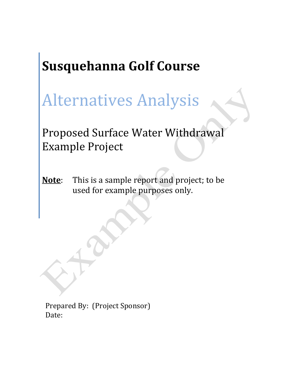# **Susquehanna Golf Course**

# Alternatives Analysis

Proposed Surface Water Withdrawal Example Project

**Note**: This is a sample report and project; to be used for example purposes only.

Prepared By: (Project Sponsor) Date: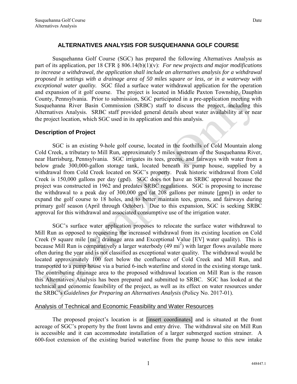### **ALTERNATIVES ANALYSIS FOR SUSQUEHANNA GOLF COURSE**

Susquehanna Golf Course (SGC) has prepared the following Alternatives Analysis as part of its application, per 18 CFR § 806.14(b)(1)(v): *For new projects and major modifications to increase a withdrawal, the application shall include an alternatives analysis for a withdrawal proposed in settings with a drainage area of 50 miles square or less, or in a waterway with exceptional water quality.* SGC filed a surface water withdrawal application for the operation and expansion of it golf course. The project is located in Middle Paxton Township, Dauphin County, Pennsylvania. Prior to submission, SGC participated in a pre-application meeting with Susquehanna River Basin Commission (SRBC) staff to discuss the project, including this Alternatives Analysis. SRBC staff provided general details about water availability at or near the project location, which SGC used in its application and this analysis.

#### **Description of Project**

 SGC is an existing 9-hole golf course, located in the foothills of Cold Mountain along Cold Creek, a tributary to Mill Run, approximately 5 miles upstream of the Susquehanna River, near Harrisburg, Pennsylvania. SGC irrigates its tees, greens, and fairways with water from a below grade 300,000-gallon storage tank, located beneath its pump house, supplied by a withdrawal from Cold Creek located on SGC's property. Peak historic withdrawal from Cold Creek is 150,000 gallons per day (gpd). SGC does not have an SRBC approval because the project was constructed in 1962 and predates SRBC regulations. SGC is proposing to increase the withdrawal to a peak day of 300,000 gpd (at 208 gallons per minute [gpm]) in order to expand the golf course to 18 holes, and to better maintain tees, greens, and fairways during primary golf season (April through October). Due to this expansion, SGC is seeking SRBC approval for this withdrawal and associated consumptive use of the irrigation water.

SGC's surface water application proposes to relocate the surface water withdrawal to Mill Run as opposed to requesting the increased withdrawal from its existing location on Cold Creek (9 square mile [mi<sup>2</sup>] drainage area and Exceptional Value [EV] water quality). This is because Mill Run is comparatively a larger waterbody  $(49 \text{ mi}^2)$  with larger flows available more often during the year and is not classified as exceptional water quality. The withdrawal would be located approximately 100 feet below the confluence of Cold Creek and Mill Run, and transported to a pump house via a buried 6-inch waterline and stored in the existing storage tank. The contributing drainage area to the proposed withdrawal location on Mill Run is the reason this Alternatives Analysis has been prepared and submitted to SRBC. SGC has looked at the technical and economic feasibility of the project, as well as its effect on water resources under the SRBC's *Guidelines for Preparing an Alternatives Analysis* (Policy No. 2017-01).

#### Analysis of Technical and Economic Feasibility and Water Resources

 The proposed project's location is at [insert coordinates] and is situated at the front acreage of SGC's property by the front lawns and entry drive. The withdrawal site on Mill Run is accessible and it can accommodate installation of a larger submerged suction strainer. A 600-foot extension of the existing buried waterline from the pump house to this new intake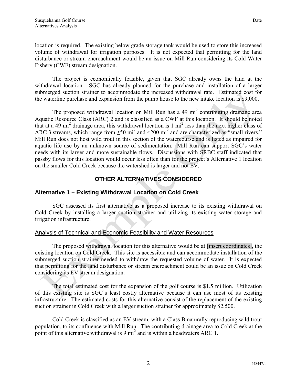location is required. The existing below grade storage tank would be used to store this increased volume of withdrawal for irrigation purposes. It is not expected that permitting for the land disturbance or stream encroachment would be an issue on Mill Run considering its Cold Water Fishery (CWF) stream designation.

 The project is economically feasible, given that SGC already owns the land at the withdrawal location. SGC has already planned for the purchase and installation of a larger submerged suction strainer to accommodate the increased withdrawal rate. Estimated cost for the waterline purchase and expansion from the pump house to the new intake location is \$9,000.

The proposed withdrawal location on Mill Run has a 49 mi<sup>2</sup> contributing drainage area Aquatic Resource Class (ARC) 2 and is classified as a CWF at this location. It should be noted that at a 49 mi<sup>2</sup> drainage area, this withdrawal location is 1 mi<sup>2</sup> less than the next higher class of ARC 3 streams, which range from  $\geq$ 50 mi<sup>2</sup> and  $\leq$ 200 mi<sup>2</sup> and are characterized as "small rivers." Mill Run does not host wild trout in this section of the watercourse and is listed as impaired for aquatic life use by an unknown source of sedimentation. Mill Run can support SGC's water needs with its larger and more sustainable flows. Discussions with SRBC staff indicated that passby flows for this location would occur less often than for the project's Alternative 1 location on the smaller Cold Creek because the watershed is larger and not EV.

# **OTHER ALTERNATIVES CONSIDERED**

# **Alternative 1 – Existing Withdrawal Location on Cold Creek**

 SGC assessed its first alternative as a proposed increase to its existing withdrawal on Cold Creek by installing a larger suction strainer and utilizing its existing water storage and irrigation infrastructure.

# Analysis of Technical and Economic Feasibility and Water Resources

 The proposed withdrawal location for this alternative would be at [insert coordinates], the existing location on Cold Creek. This site is accessible and can accommodate installation of the submerged suction strainer needed to withdraw the requested volume of water. It is expected that permitting for the land disturbance or stream encroachment could be an issue on Cold Creek considering its EV stream designation.

 The total estimated cost for the expansion of the golf course is \$1.5 million. Utilization of this existing site is SGC's least costly alternative because it can use most of its existing infrastructure. The estimated costs for this alternative consist of the replacement of the existing suction strainer in Cold Creek with a larger suction strainer for approximately \$2,500.

 Cold Creek is classified as an EV stream, with a Class B naturally reproducing wild trout population, to its confluence with Mill Run. The contributing drainage area to Cold Creek at the point of this alternative withdrawal is 9  $\text{mi}^2$  and is within a headwaters ARC 1.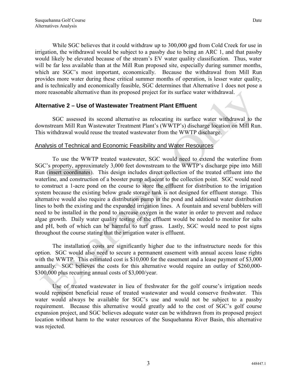While SGC believes that it could withdraw up to 300,000 gpd from Cold Creek for use in irrigation, the withdrawal would be subject to a passby due to being an ARC 1, and that passby would likely be elevated because of the stream's EV water quality classification. Thus, water will be far less available than at the Mill Run proposed site, especially during summer months, which are SGC's most important, economically. Because the withdrawal from Mill Run provides more water during these critical summer months of operation, is lesser water quality, and is technically and economically feasible, SGC determines that Alternative 1 does not pose a more reasonable alternative than its proposed project for its surface water withdrawal.

#### **Alternative 2 – Use of Wastewater Treatment Plant Effluent**

 SGC assessed its second alternative as relocating its surface water withdrawal to the downstream Mill Run Wastewater Treatment Plant's (WWTP's) discharge location on Mill Run. This withdrawal would reuse the treated wastewater from the WWTP discharge.

#### Analysis of Technical and Economic Feasibility and Water Resources

 To use the WWTP treated wastewater, SGC would need to extend the waterline from SGC's property, approximately 3,000 feet downstream to the WWTP's discharge pipe into Mill Run (insert coordinates). This design includes direct collection of the treated effluent into the waterline, and construction of a booster pump adjacent to the collection point. SGC would need to construct a 1-acre pond on the course to store the effluent for distribution to the irrigation system because the existing below grade storage tank is not designed for effluent storage. This alternative would also require a distribution pump in the pond and additional water distribution lines to both the existing and the expanded irrigation lines. A fountain and several bubblers will need to be installed in the pond to increase oxygen in the water in order to prevent and reduce algae growth. Daily water quality testing of the effluent would be needed to monitor for salts and pH, both of which can be harmful to turf grass. Lastly, SGC would need to post signs throughout the course stating that the irrigation water is effluent.

 The installation costs are significantly higher due to the infrastructure needs for this option. SGC would also need to secure a permanent easement with annual access lease rights with the WWTP. This estimated cost is \$10,000 for the easement and a lease payment of \$3,000 annually. SGC believes the costs for this alternative would require an outlay of \$260,000- \$300,000 plus recurring annual costs of \$3,000/year.

 Use of treated wastewater in lieu of freshwater for the golf course's irrigation needs would represent beneficial reuse of treated wastewater and would conserve freshwater. This water would always be available for SGC's use and would not be subject to a passby requirement. Because this alternative would greatly add to the cost of SGC's golf course expansion project, and SGC believes adequate water can be withdrawn from its proposed project location without harm to the water resources of the Susquehanna River Basin, this alternative was rejected.